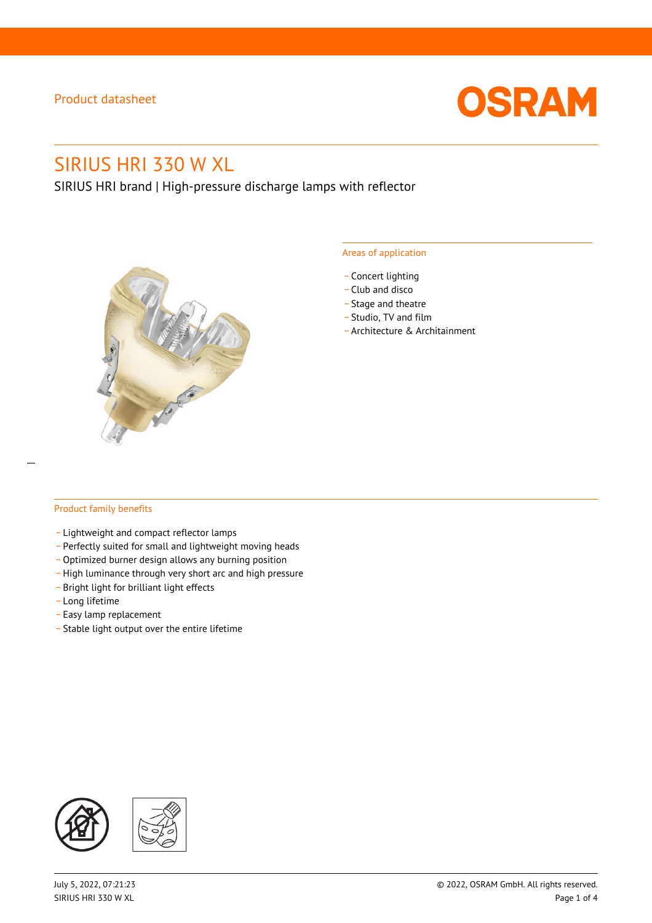

# SIRIUS HRI 330 W XL

SIRIUS HRI brand | High-pressure discharge lamps with reflector



#### Areas of application

- Concert lighting
- \_ Club and disco
- Stage and theatre
- \_ Studio, TV and film
- \_ Architecture & Architainment

#### Product family benefits

- \_ Lightweight and compact reflector lamps
- \_ Perfectly suited for small and lightweight moving heads
- Optimized burner design allows any burning position
- High luminance through very short arc and high pressure
- \_ Bright light for brilliant light effects
- \_ Long lifetime
- \_ Easy lamp replacement
- \_ Stable light output over the entire lifetime

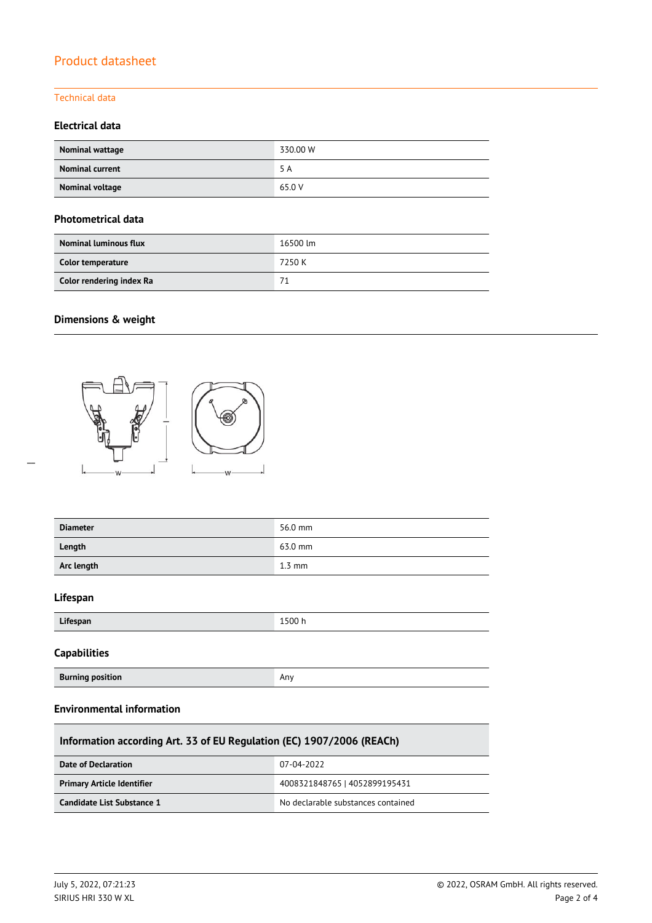### Technical data

### **Electrical data**

| Nominal wattage        | 330.00 W |
|------------------------|----------|
| <b>Nominal current</b> | 5 A      |
| Nominal voltage        | 65.0 V   |

#### **Photometrical data**

| <b>Nominal luminous flux</b> | 16500 lm |
|------------------------------|----------|
| Color temperature            | 7250 K   |
| Color rendering index Ra     | 71       |

## **Dimensions & weight**

 $\overline{a}$ 



**Burning position Any Any Any Any Any Any Any Any Any** 

| <b>Diameter</b>     | 56.0 mm          |
|---------------------|------------------|
| Length              | 63.0 mm          |
| Arc length          | $1.3 \text{ mm}$ |
| Lifespan            |                  |
| Lifespan            | 1500h            |
| <b>Capabilities</b> |                  |

## **Environmental information**

| Information according Art. 33 of EU Regulation (EC) 1907/2006 (REACh) |                                    |  |  |  |
|-----------------------------------------------------------------------|------------------------------------|--|--|--|
| Date of Declaration                                                   | 07-04-2022                         |  |  |  |
| <b>Primary Article Identifier</b>                                     | 4008321848765   4052899195431      |  |  |  |
| Candidate List Substance 1                                            | No declarable substances contained |  |  |  |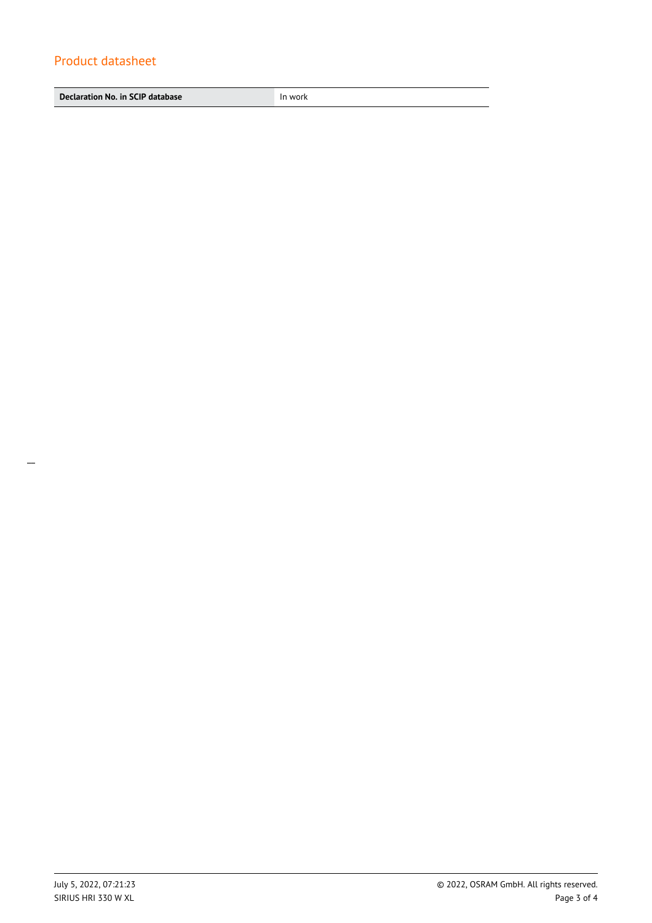**Declaration No. in SCIP database In work**